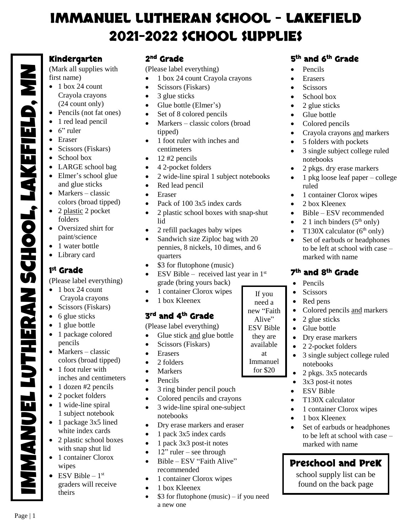# **IMMANUEL LUTHERAN SCHOOL – LAKEFIELD 2021-2022 SCHOOL SUPPLIES**

#### **Kindergarten**

(Mark all supplies with first name)

- $\bullet$  1 box 24 count Crayola crayons (24 count only)
- Pencils (not fat ones)
- 1 red lead pencil
- $\bullet$  6" ruler
- Eraser
- Scissors (Fiskars)
- School box
- LARGE school bag
- Elmer's school glue and glue sticks
- Markers classic colors (broad tipped)
- 2 plastic 2 pocket folders
- Oversized shirt for paint/science
- 1 water bottle
- Library card

### **1 st Grade**

IMMANUEL LUTHERAN SCHOOL, LAKEFIELD, MN

(Please label everything)

- $\bullet$  1 box 24 count Crayola crayons
- Scissors (Fiskars)
- $\bullet$  6 glue sticks
- 1 glue bottle
- 1 package colored pencils
- Markers classic colors (broad tipped)
- $\bullet$  1 foot ruler with inches and centimeters
- $\bullet$  1 dozen #2 pencils
- 2 pocket folders
- 1 wide-line spiral 1 subject notebook
- 1 package 3x5 lined white index cards
- 2 plastic school boxes with snap shut lid
- 1 container Clorox wipes
- ESV Bible  $-1$ <sup>st</sup> graders will receive theirs IMMANUEL LUTHERAN SCHOOL, LAKEFIELD, MN

Page | 1

#### **2 nd Grade**

(Please label everything)

- 1 box 24 count Crayola crayons
- Scissors (Fiskars)
- 3 glue sticks
- Glue bottle (Elmer's)
- Set of 8 colored pencils
- $\bullet$  Markers classic colors (broad tipped)
- 1 foot ruler with inches and centimeters
- $\bullet$  12 #2 pencils
- 4 2-pocket folders
- 2 wide-line spiral 1 subject notebooks
- Red lead pencil
- Eraser
- Pack of 100 3x5 index cards
- 2 plastic school boxes with snap-shut lid
- 2 refill packages baby wipes
- Sandwich size Ziploc bag with 20 pennies, 8 nickels, 10 dimes, and 6 quarters
- \$3 for flutophone (music)
- ESV Bible received last year in  $1<sup>st</sup>$ grade (bring yours back)
- 1 container Clorox wipes
- 1 box Kleenex

## **3 rd and 4th Grade**

(Please label everything)

- Glue stick and glue bottle
- Scissors (Fiskars)
- Erasers
- 2 folders
- Markers
- Pencils
- 3 ring binder pencil pouch
- Colored pencils and crayons
- 3 wide-line spiral one-subject notebooks
- Dry erase markers and eraser
- $\bullet$  1 pack 3x5 index cards
- $\bullet$  1 pack 3x3 post-it notes
- $\bullet$  12" ruler see through
- Bible ESV "Faith Alive" recommended
- 1 container Clorox wipes
- 1 box Kleenex
- \$3 for flutophone (music) if you need a new one

### **5 th and 6th Grade**

- Pencils
- Erasers
- Scissors
- School box
- $\bullet$  2 glue sticks
- Glue bottle
- Colored pencils
- Crayola crayons and markers
- 5 folders with pockets
- 3 single subject college ruled notebooks
- 2 pkgs. dry erase markers
- 1 pkg loose leaf paper college ruled
- 1 container Clorox wipes
- 2 box Kleenex
- Bible ESV recommended
- 2 1 inch binders  $(5<sup>th</sup> only)$
- T130X calculator  $(6<sup>th</sup>$  only)
- Set of earbuds or headphones to be left at school with case – marked with name

### **7 th and 8th Grade**

- Pencils
- Scissors

If you need a new "Faith Alive" ESV Bible they are available at Immanuel for \$20

- Red pens
- Colored pencils and markers

• 3 single subject college ruled

 Dry erase markers 2 2-pocket folders

• 2 pkgs. 3x5 notecards  $\bullet$  3x3 post-it notes ESV Bible • T130X calculator

• 1 container Clorox wipes 1 box Kleenex

marked with name

**Preschool and PreK** school supply list can be found on the back page

• Set of earbuds or headphones to be left at school with case –

- $\bullet$  2 glue sticks
- Glue bottle

notebooks